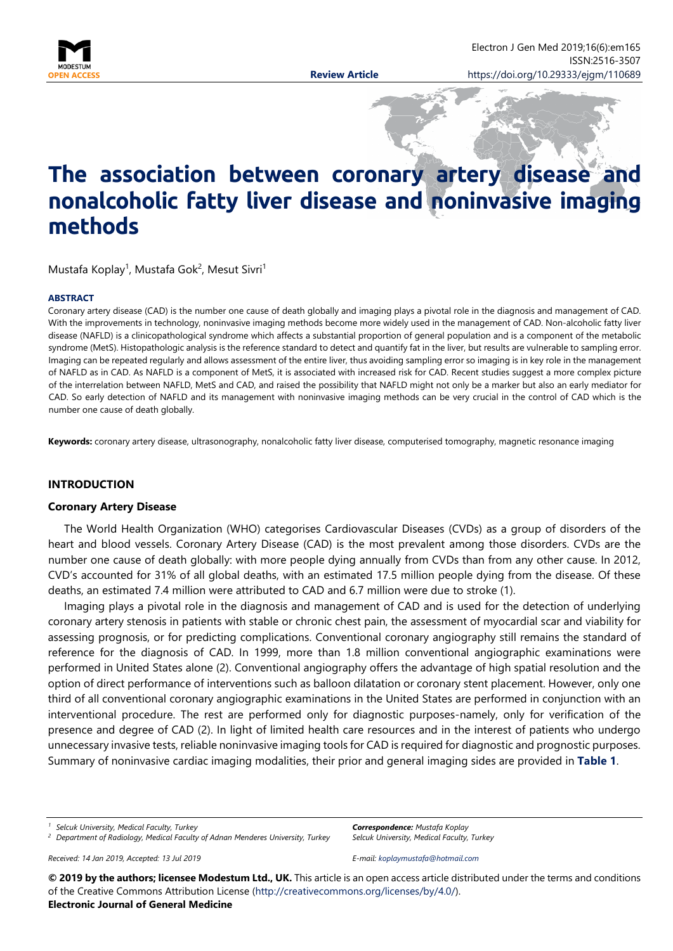

# **The association between coronary artery disease and nonalcoholic fatty liver disease and noninvasive imaging methods**

Mustafa Koplay<sup>1</sup>, Mustafa Gok<sup>2</sup>, Mesut Sivri<sup>1</sup>

#### **ABSTRACT**

Coronary artery disease (CAD) is the number one cause of death globally and imaging plays a pivotal role in the diagnosis and management of CAD. With the improvements in technology, noninvasive imaging methods become more widely used in the management of CAD. Non-alcoholic fatty liver disease (NAFLD) is a clinicopathological syndrome which affects a substantial proportion of general population and is a component of the metabolic syndrome (MetS). Histopathologic analysis is the reference standard to detect and quantify fat in the liver, but results are vulnerable to sampling error. Imaging can be repeated regularly and allows assessment of the entire liver, thus avoiding sampling error so imaging is in key role in the management of NAFLD as in CAD. As NAFLD is a component of MetS, it is associated with increased risk for CAD. Recent studies suggest a more complex picture of the interrelation between NAFLD, MetS and CAD, and raised the possibility that NAFLD might not only be a marker but also an early mediator for CAD. So early detection of NAFLD and its management with noninvasive imaging methods can be very crucial in the control of CAD which is the number one cause of death globally.

**Keywords:** coronary artery disease, ultrasonography, nonalcoholic fatty liver disease, computerised tomography, magnetic resonance imaging

#### **INTRODUCTION**

#### **Coronary Artery Disease**

The World Health Organization (WHO) categorises Cardiovascular Diseases (CVDs) as a group of disorders of the heart and blood vessels. Coronary Artery Disease (CAD) is the most prevalent among those disorders. CVDs are the number one cause of death globally: with more people dying annually from CVDs than from any other cause. In 2012, CVD's accounted for 31% of all global deaths, with an estimated 17.5 million people dying from the disease. Of these deaths, an estimated 7.4 million were attributed to CAD and 6.7 million were due to stroke (1).

Imaging plays a pivotal role in the diagnosis and management of CAD and is used for the detection of underlying coronary artery stenosis in patients with stable or chronic chest pain, the assessment of myocardial scar and viability for assessing prognosis, or for predicting complications. Conventional coronary angiography still remains the standard of reference for the diagnosis of CAD. In 1999, more than 1.8 million conventional angiographic examinations were performed in United States alone (2). Conventional angiography offers the advantage of high spatial resolution and the option of direct performance of interventions such as balloon dilatation or coronary stent placement. However, only one third of all conventional coronary angiographic examinations in the United States are performed in conjunction with an interventional procedure. The rest are performed only for diagnostic purposes-namely, only for verification of the presence and degree of CAD (2). In light of limited health care resources and in the interest of patients who undergo unnecessary invasive tests, reliable noninvasive imaging tools for CAD is required for diagnostic and prognostic purposes. Summary of noninvasive cardiac imaging modalities, their prior and general imaging sides are provided in **Table 1**.

*Received: 14 Jan 2019, Accepted: 13 Jul 2019*

*Correspondence: Mustafa Koplay Selcuk University, Medical Faculty, Turkey*

*E-mail: [koplaymustafa@hotmail.com](mailto:koplaymustafa@hotmail.com)*

**© 2019 by the authors; licensee Modestum Ltd., UK.** This article is an open access article distributed under the terms and conditions of the Creative Commons Attribution License [\(http://creativecommons.org/licenses/by/4.0/\)](http://creativecommons.org/licenses/by/4.0/). **Electronic Journal of General Medicine**

*<sup>1</sup> Selcuk University, Medical Faculty, Turkey*

*<sup>2</sup> Department of Radiology, Medical Faculty of Adnan Menderes University, Turkey*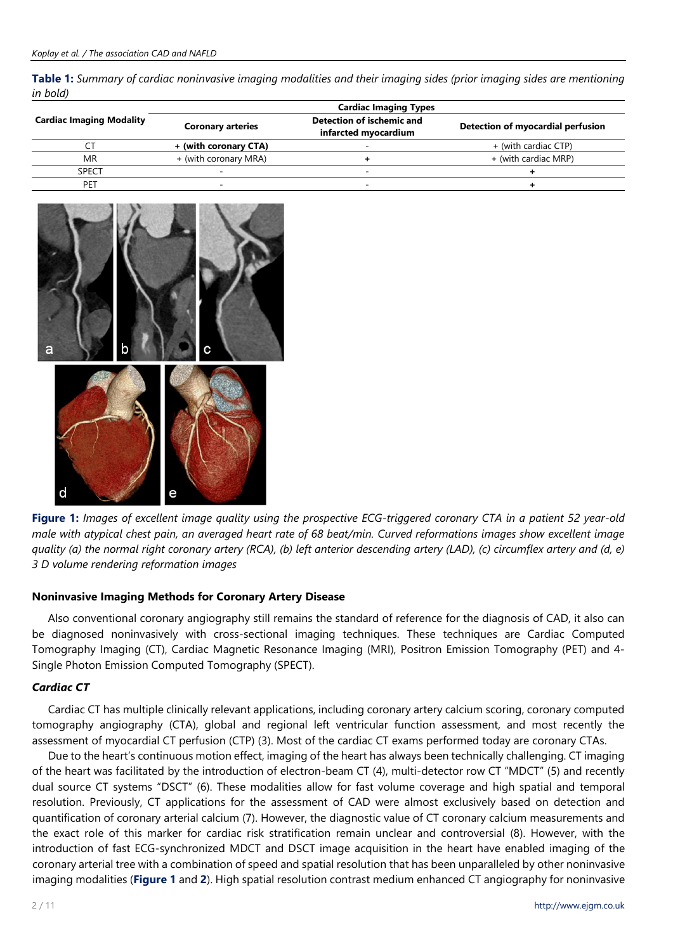Table 1: Summary of cardiac noninvasive imaging modalities and their imaging sides (prior imaging sides are mentioning *in bold)*

|                                 | <b>Cardiac Imaging Types</b> |                                                   |                                   |  |
|---------------------------------|------------------------------|---------------------------------------------------|-----------------------------------|--|
| <b>Cardiac Imaging Modality</b> | <b>Coronary arteries</b>     | Detection of ischemic and<br>infarcted myocardium | Detection of myocardial perfusion |  |
|                                 | + (with coronary CTA)        | -                                                 | + (with cardiac CTP)              |  |
| <b>MR</b>                       | + (with coronary MRA)        |                                                   | + (with cardiac MRP)              |  |
| <b>SPECT</b>                    |                              | -                                                 |                                   |  |
| PET                             |                              |                                                   |                                   |  |



Figure 1: Images of excellent image quality using the prospective ECG-triggered coronary CTA in a patient 52 year-old male with atypical chest pain, an averaged heart rate of 68 beat/min. Curved reformations images show excellent image quality (a) the normal right coronary artery (RCA), (b) left anterior descending artery (LAD), (c) circumflex artery and (d, e) *3 D volume rendering reformation images*

#### **Noninvasive Imaging Methods for Coronary Artery Disease**

Also conventional coronary angiography still remains the standard of reference for the diagnosis of CAD, it also can be diagnosed noninvasively with cross-sectional imaging techniques. These techniques are Cardiac Computed Tomography Imaging (CT), Cardiac Magnetic Resonance Imaging (MRI), Positron Emission Tomography (PET) and 4- Single Photon Emission Computed Tomography (SPECT).

### *Cardiac CT*

Cardiac CT has multiple clinically relevant applications, including coronary artery calcium scoring, coronary computed tomography angiography (CTA), global and regional left ventricular function assessment, and most recently the assessment of myocardial CT perfusion (CTP) (3). Most of the cardiac CT exams performed today are coronary CTAs.

Due to the heart's continuous motion effect, imaging of the heart has always been technically challenging. CT imaging of the heart was facilitated by the introduction of electron-beam CT (4), multi-detector row CT "MDCT" (5) and recently dual source CT systems "DSCT" (6). These modalities allow for fast volume coverage and high spatial and temporal resolution. Previously, CT applications for the assessment of CAD were almost exclusively based on detection and quantification of coronary arterial calcium (7). However, the diagnostic value of CT coronary calcium measurements and the exact role of this marker for cardiac risk stratification remain unclear and controversial (8). However, with the introduction of fast ECG-synchronized MDCT and DSCT image acquisition in the heart have enabled imaging of the coronary arterial tree with a combination of speed and spatial resolution that has been unparalleled by other noninvasive imaging modalities (**Figure 1** and **2**). High spatial resolution contrast medium enhanced CT angiography for noninvasive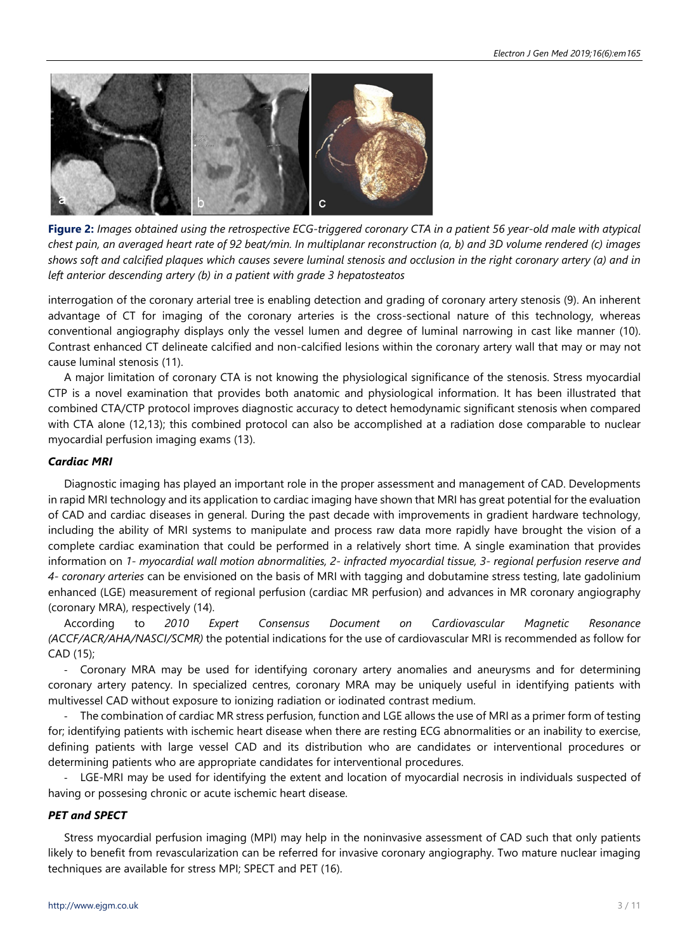

Figure 2: Images obtained using the retrospective ECG-triggered coronary CTA in a patient 56 year-old male with atypical chest pain, an averaged heart rate of 92 beat/min. In multiplanar reconstruction (a, b) and 3D volume rendered (c) images shows soft and calcified plaques which causes severe luminal stenosis and occlusion in the right coronary artery (a) and in *left anterior descending artery (b) in a patient with grade 3 hepatosteatos*

interrogation of the coronary arterial tree is enabling detection and grading of coronary artery stenosis (9). An inherent advantage of CT for imaging of the coronary arteries is the cross-sectional nature of this technology, whereas conventional angiography displays only the vessel lumen and degree of luminal narrowing in cast like manner (10). Contrast enhanced CT delineate calcified and non-calcified lesions within the coronary artery wall that may or may not cause luminal stenosis (11).

A major limitation of coronary CTA is not knowing the physiological significance of the stenosis. Stress myocardial CTP is a novel examination that provides both anatomic and physiological information. It has been illustrated that combined CTA/CTP protocol improves diagnostic accuracy to detect hemodynamic significant stenosis when compared with CTA alone (12,13); this combined protocol can also be accomplished at a radiation dose comparable to nuclear myocardial perfusion imaging exams (13).

# *Cardiac MRI*

Diagnostic imaging has played an important role in the proper assessment and management of CAD. Developments in rapid MRI technology and its application to cardiac imaging have shown that MRI has great potential for the evaluation of CAD and cardiac diseases in general. During the past decade with improvements in gradient hardware technology, including the ability of MRI systems to manipulate and process raw data more rapidly have brought the vision of a complete cardiac examination that could be performed in a relatively short time. A single examination that provides information on *1- myocardial wall motion abnormalities, 2- infracted myocardial tissue, 3- regional perfusion reserve and 4- coronary arteries* can be envisioned on the basis of MRI with tagging and dobutamine stress testing, late gadolinium enhanced (LGE) measurement of regional perfusion (cardiac MR perfusion) and advances in MR coronary angiography (coronary MRA), respectively (14).

According to *2010 Expert Consensus Document on Cardiovascular Magnetic Resonance (ACCF/ACR/AHA/NASCI/SCMR)* the potential indications for the use of cardiovascular MRI is recommended as follow for CAD (15);

Coronary MRA may be used for identifying coronary artery anomalies and aneurysms and for determining coronary artery patency. In specialized centres, coronary MRA may be uniquely useful in identifying patients with multivessel CAD without exposure to ionizing radiation or iodinated contrast medium.

The combination of cardiac MR stress perfusion, function and LGE allows the use of MRI as a primer form of testing for; identifying patients with ischemic heart disease when there are resting ECG abnormalities or an inability to exercise, defining patients with large vessel CAD and its distribution who are candidates or interventional procedures or determining patients who are appropriate candidates for interventional procedures.

- LGE-MRI may be used for identifying the extent and location of myocardial necrosis in individuals suspected of having or possesing chronic or acute ischemic heart disease.

# *PET and SPECT*

Stress myocardial perfusion imaging (MPI) may help in the noninvasive assessment of CAD such that only patients likely to benefit from revascularization can be referred for invasive coronary angiography. Two mature nuclear imaging techniques are available for stress MPI; SPECT and PET (16).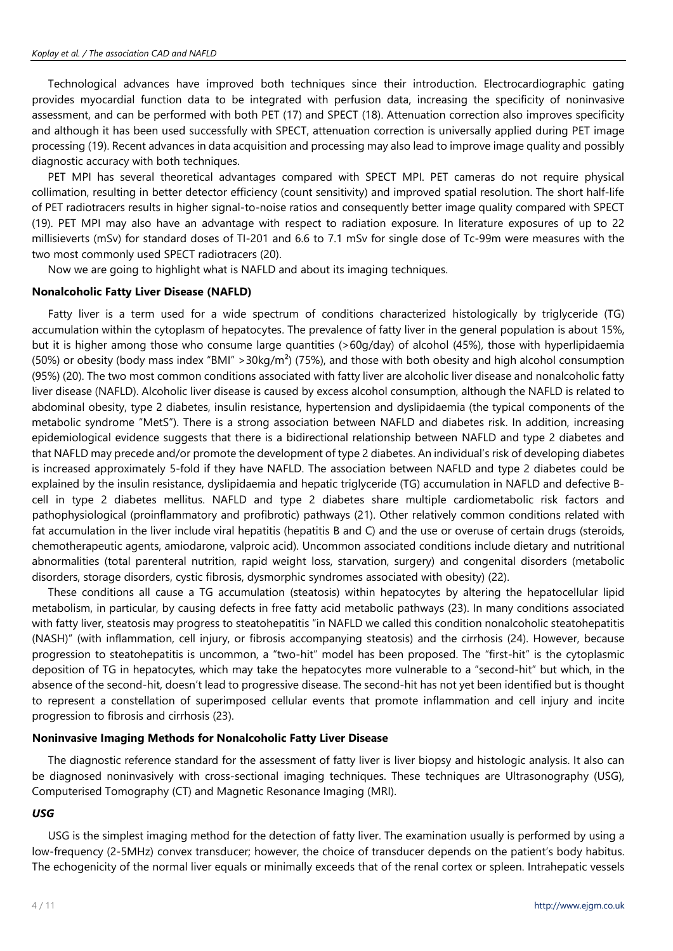Technological advances have improved both techniques since their introduction. Electrocardiographic gating provides myocardial function data to be integrated with perfusion data, increasing the specificity of noninvasive assessment, and can be performed with both PET (17) and SPECT (18). Attenuation correction also improves specificity and although it has been used successfully with SPECT, attenuation correction is universally applied during PET image processing (19). Recent advances in data acquisition and processing may also lead to improve image quality and possibly diagnostic accuracy with both techniques.

PET MPI has several theoretical advantages compared with SPECT MPI. PET cameras do not require physical collimation, resulting in better detector efficiency (count sensitivity) and improved spatial resolution. The short half-life of PET radiotracers results in higher signal-to-noise ratios and consequently better image quality compared with SPECT (19). PET MPI may also have an advantage with respect to radiation exposure. In literature exposures of up to 22 millisieverts (mSv) for standard doses of TI-201 and 6.6 to 7.1 mSv for single dose of Tc-99m were measures with the two most commonly used SPECT radiotracers (20).

Now we are going to highlight what is NAFLD and about its imaging techniques.

#### **Nonalcoholic Fatty Liver Disease (NAFLD)**

Fatty liver is a term used for a wide spectrum of conditions characterized histologically by triglyceride (TG) accumulation within the cytoplasm of hepatocytes. The prevalence of fatty liver in the general population is about 15%, but it is higher among those who consume large quantities (>60g/day) of alcohol (45%), those with hyperlipidaemia (50%) or obesity (body mass index "BMI" >30kg/m<sup>2</sup>) (75%), and those with both obesity and high alcohol consumption (95%) (20). The two most common conditions associated with fatty liver are alcoholic liver disease and nonalcoholic fatty liver disease (NAFLD). Alcoholic liver disease is caused by excess alcohol consumption, although the NAFLD is related to abdominal obesity, type 2 diabetes, insulin resistance, hypertension and dyslipidaemia (the typical components of the metabolic syndrome "MetS"). There is a strong association between NAFLD and diabetes risk. In addition, increasing epidemiological evidence suggests that there is a bidirectional relationship between NAFLD and type 2 diabetes and that NAFLD may precede and/or promote the development of type 2 diabetes. An individual's risk of developing diabetes is increased approximately 5-fold if they have NAFLD. The association between NAFLD and type 2 diabetes could be explained by the insulin resistance, dyslipidaemia and hepatic triglyceride (TG) accumulation in NAFLD and defective Bcell in type 2 diabetes mellitus. NAFLD and type 2 diabetes share multiple cardiometabolic risk factors and pathophysiological (proinflammatory and profibrotic) pathways (21). Other relatively common conditions related with fat accumulation in the liver include viral hepatitis (hepatitis B and C) and the use or overuse of certain drugs (steroids, chemotherapeutic agents, amiodarone, valproic acid). Uncommon associated conditions include dietary and nutritional abnormalities (total parenteral nutrition, rapid weight loss, starvation, surgery) and congenital disorders (metabolic disorders, storage disorders, cystic fibrosis, dysmorphic syndromes associated with obesity) (22).

These conditions all cause a TG accumulation (steatosis) within hepatocytes by altering the hepatocellular lipid metabolism, in particular, by causing defects in free fatty acid metabolic pathways (23). In many conditions associated with fatty liver, steatosis may progress to steatohepatitis "in NAFLD we called this condition nonalcoholic steatohepatitis (NASH)" (with inflammation, cell injury, or fibrosis accompanying steatosis) and the cirrhosis (24). However, because progression to steatohepatitis is uncommon, a "two-hit" model has been proposed. The "first-hit" is the cytoplasmic deposition of TG in hepatocytes, which may take the hepatocytes more vulnerable to a "second-hit" but which, in the absence of the second-hit, doesn't lead to progressive disease. The second-hit has not yet been identified but is thought to represent a constellation of superimposed cellular events that promote inflammation and cell injury and incite progression to fibrosis and cirrhosis (23).

#### **Noninvasive Imaging Methods for Nonalcoholic Fatty Liver Disease**

The diagnostic reference standard for the assessment of fatty liver is liver biopsy and histologic analysis. It also can be diagnosed noninvasively with cross-sectional imaging techniques. These techniques are Ultrasonography (USG), Computerised Tomography (CT) and Magnetic Resonance Imaging (MRI).

#### *USG*

USG is the simplest imaging method for the detection of fatty liver. The examination usually is performed by using a low-frequency (2-5MHz) convex transducer; however, the choice of transducer depends on the patient's body habitus. The echogenicity of the normal liver equals or minimally exceeds that of the renal cortex or spleen. Intrahepatic vessels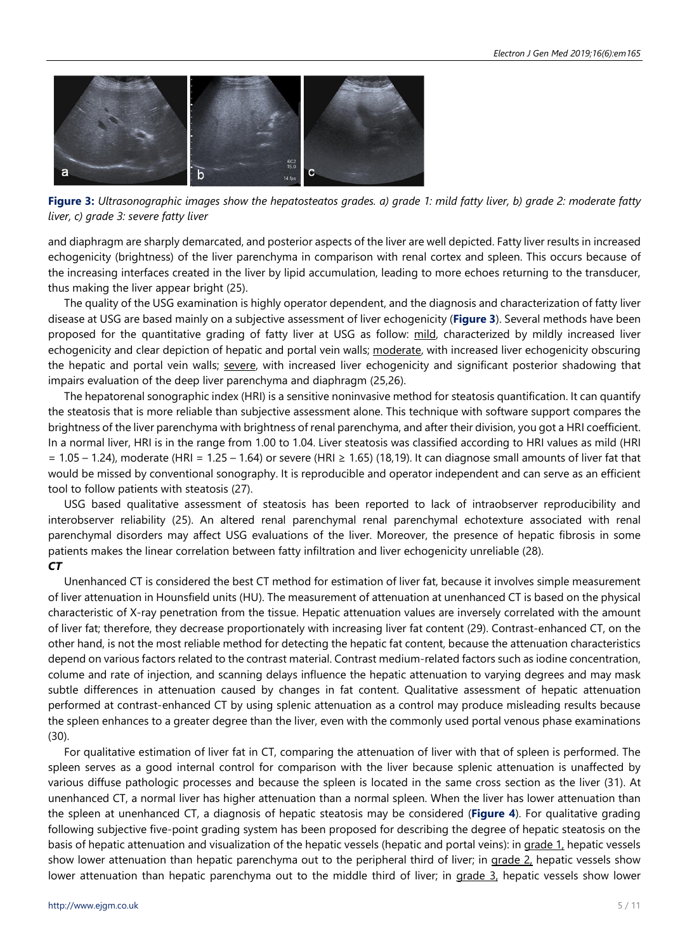

Figure 3: Ultrasonographic images show the hepatosteatos grades. a) grade 1: mild fatty liver, b) grade 2: moderate fatty *liver, c) grade 3: severe fatty liver*

and diaphragm are sharply demarcated, and posterior aspects of the liver are well depicted. Fatty liver results in increased echogenicity (brightness) of the liver parenchyma in comparison with renal cortex and spleen. This occurs because of the increasing interfaces created in the liver by lipid accumulation, leading to more echoes returning to the transducer, thus making the liver appear bright (25).

The quality of the USG examination is highly operator dependent, and the diagnosis and characterization of fatty liver disease at USG are based mainly on a subjective assessment of liver echogenicity (**Figure 3**). Several methods have been proposed for the quantitative grading of fatty liver at USG as follow: mild, characterized by mildly increased liver echogenicity and clear depiction of hepatic and portal vein walls; moderate, with increased liver echogenicity obscuring the hepatic and portal vein walls; severe, with increased liver echogenicity and significant posterior shadowing that impairs evaluation of the deep liver parenchyma and diaphragm (25,26).

The hepatorenal sonographic index (HRI) is a sensitive noninvasive method for steatosis quantification. It can quantify the steatosis that is more reliable than subjective assessment alone. This technique with software support compares the brightness of the liver parenchyma with brightness of renal parenchyma, and after their division, you got a HRI coefficient. In a normal liver, HRI is in the range from 1.00 to 1.04. Liver steatosis was classified according to HRI values as mild (HRI  $= 1.05 - 1.24$ ), moderate (HRI = 1.25 – 1.64) or severe (HRI  $\geq 1.65$ ) (18,19). It can diagnose small amounts of liver fat that would be missed by conventional sonography. It is reproducible and operator independent and can serve as an efficient tool to follow patients with steatosis (27).

USG based qualitative assessment of steatosis has been reported to lack of intraobserver reproducibility and interobserver reliability (25). An altered renal parenchymal renal parenchymal echotexture associated with renal parenchymal disorders may affect USG evaluations of the liver. Moreover, the presence of hepatic fibrosis in some patients makes the linear correlation between fatty infiltration and liver echogenicity unreliable (28).

#### *CT*

Unenhanced CT is considered the best CT method for estimation of liver fat, because it involves simple measurement of liver attenuation in Hounsfield units (HU). The measurement of attenuation at unenhanced CT is based on the physical characteristic of X-ray penetration from the tissue. Hepatic attenuation values are inversely correlated with the amount of liver fat; therefore, they decrease proportionately with increasing liver fat content (29). Contrast-enhanced CT, on the other hand, is not the most reliable method for detecting the hepatic fat content, because the attenuation characteristics depend on various factors related to the contrast material. Contrast medium-related factors such as iodine concentration, colume and rate of injection, and scanning delays influence the hepatic attenuation to varying degrees and may mask subtle differences in attenuation caused by changes in fat content. Qualitative assessment of hepatic attenuation performed at contrast-enhanced CT by using splenic attenuation as a control may produce misleading results because the spleen enhances to a greater degree than the liver, even with the commonly used portal venous phase examinations (30).

For qualitative estimation of liver fat in CT, comparing the attenuation of liver with that of spleen is performed. The spleen serves as a good internal control for comparison with the liver because splenic attenuation is unaffected by various diffuse pathologic processes and because the spleen is located in the same cross section as the liver (31). At unenhanced CT, a normal liver has higher attenuation than a normal spleen. When the liver has lower attenuation than the spleen at unenhanced CT, a diagnosis of hepatic steatosis may be considered (**Figure 4**). For qualitative grading following subjective five-point grading system has been proposed for describing the degree of hepatic steatosis on the basis of hepatic attenuation and visualization of the hepatic vessels (hepatic and portal veins): in grade 1, hepatic vessels show lower attenuation than hepatic parenchyma out to the peripheral third of liver; in grade 2, hepatic vessels show lower attenuation than hepatic parenchyma out to the middle third of liver; in grade 3, hepatic vessels show lower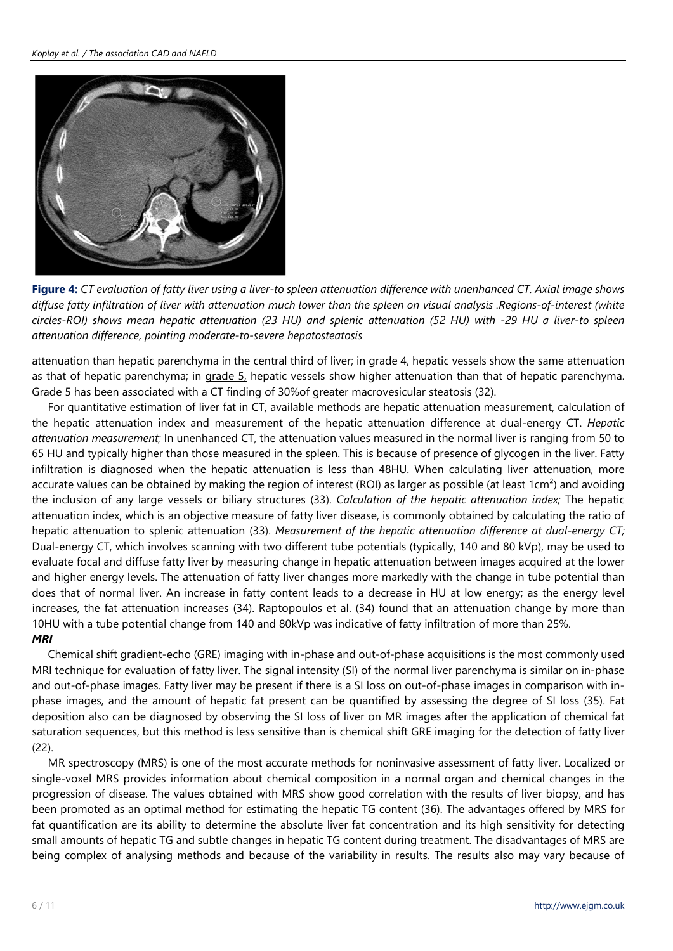

Figure 4: CT evaluation of fatty liver using a liver-to spleen attenuation difference with unenhanced CT. Axial image shows diffuse fatty infiltration of liver with attenuation much lower than the spleen on visual analysis .Regions-of-interest (white circles-ROI) shows mean hepatic attenuation (23 HU) and splenic attenuation (52 HU) with -29 HU a liver-to spleen *attenuation difference, pointing moderate-to-severe hepatosteatosis*

attenuation than hepatic parenchyma in the central third of liver; in grade  $4<sub>i</sub>$  hepatic vessels show the same attenuation as that of hepatic parenchyma; in grade 5, hepatic vessels show higher attenuation than that of hepatic parenchyma. Grade 5 has been associated with a CT finding of 30%of greater macrovesicular steatosis (32).

For quantitative estimation of liver fat in CT, available methods are hepatic attenuation measurement, calculation of the hepatic attenuation index and measurement of the hepatic attenuation difference at dual-energy CT. *Hepatic attenuation measurement;* In unenhanced CT, the attenuation values measured in the normal liver is ranging from 50 to 65 HU and typically higher than those measured in the spleen. This is because of presence of glycogen in the liver. Fatty infiltration is diagnosed when the hepatic attenuation is less than 48HU. When calculating liver attenuation, more accurate values can be obtained by making the region of interest (ROI) as larger as possible (at least  $1 \text{cm}^2$ ) and avoiding the inclusion of any large vessels or biliary structures (33). *Calculation of the hepatic attenuation index;* The hepatic attenuation index, which is an objective measure of fatty liver disease, is commonly obtained by calculating the ratio of hepatic attenuation to splenic attenuation (33). *Measurement of the hepatic attenuation difference at dual-energy CT;* Dual-energy CT, which involves scanning with two different tube potentials (typically, 140 and 80 kVp), may be used to evaluate focal and diffuse fatty liver by measuring change in hepatic attenuation between images acquired at the lower and higher energy levels. The attenuation of fatty liver changes more markedly with the change in tube potential than does that of normal liver. An increase in fatty content leads to a decrease in HU at low energy; as the energy level increases, the fat attenuation increases (34). Raptopoulos et al. (34) found that an attenuation change by more than 10HU with a tube potential change from 140 and 80kVp was indicative of fatty infiltration of more than 25%. *MRI*

Chemical shift gradient-echo (GRE) imaging with in-phase and out-of-phase acquisitions is the most commonly used MRI technique for evaluation of fatty liver. The signal intensity (SI) of the normal liver parenchyma is similar on in-phase and out-of-phase images. Fatty liver may be present if there is a SI loss on out-of-phase images in comparison with inphase images, and the amount of hepatic fat present can be quantified by assessing the degree of SI loss (35). Fat deposition also can be diagnosed by observing the SI loss of liver on MR images after the application of chemical fat saturation sequences, but this method is less sensitive than is chemical shift GRE imaging for the detection of fatty liver (22).

MR spectroscopy (MRS) is one of the most accurate methods for noninvasive assessment of fatty liver. Localized or single-voxel MRS provides information about chemical composition in a normal organ and chemical changes in the progression of disease. The values obtained with MRS show good correlation with the results of liver biopsy, and has been promoted as an optimal method for estimating the hepatic TG content (36). The advantages offered by MRS for fat quantification are its ability to determine the absolute liver fat concentration and its high sensitivity for detecting small amounts of hepatic TG and subtle changes in hepatic TG content during treatment. The disadvantages of MRS are being complex of analysing methods and because of the variability in results. The results also may vary because of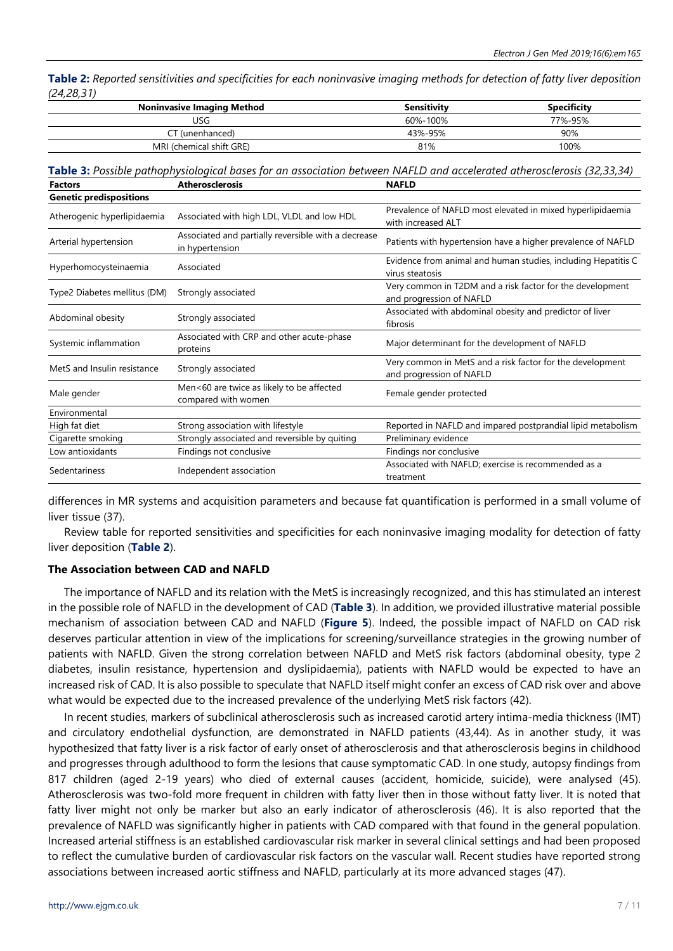Table 2: Reported sensitivities and specificities for each noninvasive imaging methods for detection of fatty liver deposition *(24,28,31)*

| <b>Noninvasive Imaging Method</b> | <b>Sensitivity</b> | Specificity |
|-----------------------------------|--------------------|-------------|
| USG                               | 60%-100%           | 77%-95%     |
| CT (unenhanced)                   | 43%-95%            | 90%         |
| MRI (chemical shift GRE)          | 81%                | 100%        |

**Table 3:** *Possible pathophysiological bases for an association between NAFLD and accelerated atherosclerosis (32,33,34)*

| <b>Factors</b>                 | <b>Atherosclerosis</b>                                                 | <b>NAFLD</b>                                                                          |
|--------------------------------|------------------------------------------------------------------------|---------------------------------------------------------------------------------------|
| <b>Genetic predispositions</b> |                                                                        |                                                                                       |
| Atherogenic hyperlipidaemia    | Associated with high LDL, VLDL and low HDL                             | Prevalence of NAFLD most elevated in mixed hyperlipidaemia<br>with increased ALT      |
| Arterial hypertension          | Associated and partially reversible with a decrease<br>in hypertension | Patients with hypertension have a higher prevalence of NAFLD                          |
| Hyperhomocysteinaemia          | Associated                                                             | Evidence from animal and human studies, including Hepatitis C<br>virus steatosis      |
| Type2 Diabetes mellitus (DM)   | Strongly associated                                                    | Very common in T2DM and a risk factor for the development<br>and progression of NAFLD |
| Abdominal obesity              | Strongly associated                                                    | Associated with abdominal obesity and predictor of liver<br>fibrosis                  |
| Systemic inflammation          | Associated with CRP and other acute-phase<br>proteins                  | Major determinant for the development of NAFLD                                        |
| MetS and Insulin resistance    | Strongly associated                                                    | Very common in MetS and a risk factor for the development<br>and progression of NAFLD |
| Male gender                    | Men<60 are twice as likely to be affected<br>compared with women       | Female gender protected                                                               |
| Environmental                  |                                                                        |                                                                                       |
| High fat diet                  | Strong association with lifestyle                                      | Reported in NAFLD and impared postprandial lipid metabolism                           |
| Cigarette smoking              | Strongly associated and reversible by quiting                          | Preliminary evidence                                                                  |
| Low antioxidants               | Findings not conclusive                                                | Findings nor conclusive                                                               |
| Sedentariness                  | Independent association                                                | Associated with NAFLD; exercise is recommended as a<br>treatment                      |

differences in MR systems and acquisition parameters and because fat quantification is performed in a small volume of liver tissue (37).

Review table for reported sensitivities and specificities for each noninvasive imaging modality for detection of fatty liver deposition (**Table 2**).

#### **The Association between CAD and NAFLD**

The importance of NAFLD and its relation with the MetS is increasingly recognized, and this has stimulated an interest in the possible role of NAFLD in the development of CAD (**Table 3**). In addition, we provided illustrative material possible mechanism of association between CAD and NAFLD (**Figure 5**). Indeed, the possible impact of NAFLD on CAD risk deserves particular attention in view of the implications for screening/surveillance strategies in the growing number of patients with NAFLD. Given the strong correlation between NAFLD and MetS risk factors (abdominal obesity, type 2 diabetes, insulin resistance, hypertension and dyslipidaemia), patients with NAFLD would be expected to have an increased risk of CAD. It is also possible to speculate that NAFLD itself might confer an excess of CAD risk over and above what would be expected due to the increased prevalence of the underlying MetS risk factors (42).

In recent studies, markers of subclinical atherosclerosis such as increased carotid artery intima-media thickness (IMT) and circulatory endothelial dysfunction, are demonstrated in NAFLD patients (43,44). As in another study, it was hypothesized that fatty liver is a risk factor of early onset of atherosclerosis and that atherosclerosis begins in childhood and progresses through adulthood to form the lesions that cause symptomatic CAD. In one study, autopsy findings from 817 children (aged 2-19 years) who died of external causes (accident, homicide, suicide), were analysed (45). Atherosclerosis was two-fold more frequent in children with fatty liver then in those without fatty liver. It is noted that fatty liver might not only be marker but also an early indicator of atherosclerosis (46). It is also reported that the prevalence of NAFLD was significantly higher in patients with CAD compared with that found in the general population. Increased arterial stiffness is an established cardiovascular risk marker in several clinical settings and had been proposed to reflect the cumulative burden of cardiovascular risk factors on the vascular wall. Recent studies have reported strong associations between increased aortic stiffness and NAFLD, particularly at its more advanced stages (47).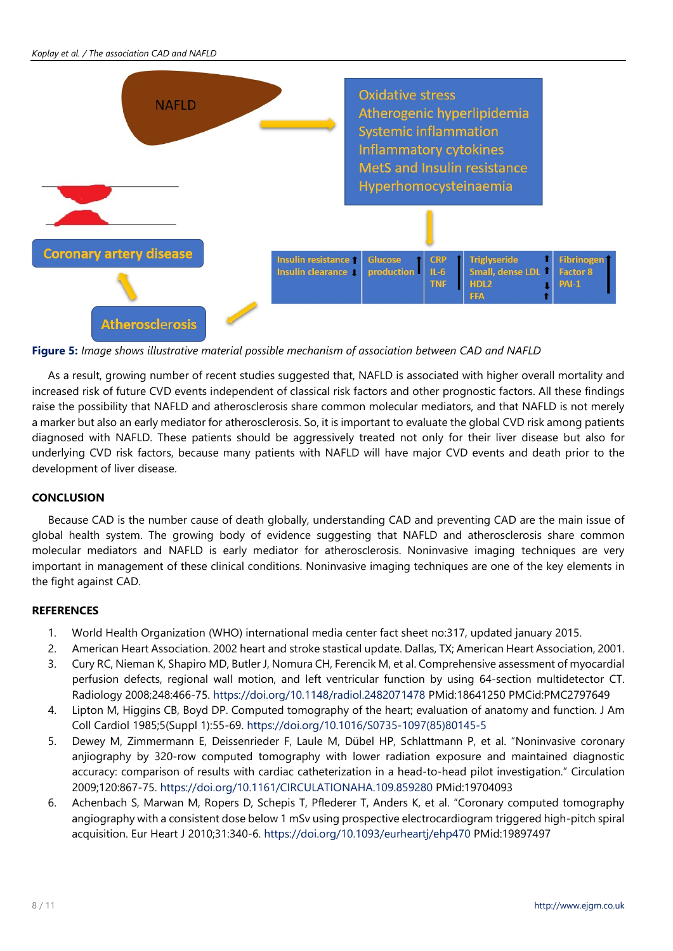

**Figure 5:** *Image shows illustrative material possible mechanism of association between CAD and NAFLD*

As a result, growing number of recent studies suggested that, NAFLD is associated with higher overall mortality and increased risk of future CVD events independent of classical risk factors and other prognostic factors. All these findings raise the possibility that NAFLD and atherosclerosis share common molecular mediators, and that NAFLD is not merely a marker but also an early mediator for atherosclerosis. So, it is important to evaluate the global CVD risk among patients diagnosed with NAFLD. These patients should be aggressively treated not only for their liver disease but also for underlying CVD risk factors, because many patients with NAFLD will have major CVD events and death prior to the development of liver disease.

# **CONCLUSION**

Because CAD is the number cause of death globally, understanding CAD and preventing CAD are the main issue of global health system. The growing body of evidence suggesting that NAFLD and atherosclerosis share common molecular mediators and NAFLD is early mediator for atherosclerosis. Noninvasive imaging techniques are very important in management of these clinical conditions. Noninvasive imaging techniques are one of the key elements in the fight against CAD.

# **REFERENCES**

- 1. World Health Organization (WHO) international media center fact sheet no:317, updated january 2015.
- 2. American Heart Association. 2002 heart and stroke stastical update. Dallas, TX; American Heart Association, 2001.
- 3. Cury RC, Nieman K, Shapiro MD, Butler J, Nomura CH, Ferencik M, et al. Comprehensive assessment of myocardial perfusion defects, regional wall motion, and left ventricular function by using 64-section multidetector CT. Radiology 2008;248:466-75. <https://doi.org/10.1148/radiol.2482071478> PMid:18641250 PMCid:PMC2797649
- 4. Lipton M, Higgins CB, Boyd DP. Computed tomography of the heart; evaluation of anatomy and function. J Am Coll Cardiol 1985;5(Suppl 1):55-69. [https://doi.org/10.1016/S0735-1097\(85\)80145-5](https://doi.org/10.1016/S0735-1097(85)80145-5)
- 5. Dewey M, Zimmermann E, Deissenrieder F, Laule M, Dübel HP, Schlattmann P, et al. "Noninvasive coronary anjiography by 320-row computed tomography with lower radiation exposure and maintained diagnostic accuracy: comparison of results with cardiac catheterization in a head-to-head pilot investigation." Circulation 2009;120:867-75. <https://doi.org/10.1161/CIRCULATIONAHA.109.859280> PMid:19704093
- 6. Achenbach S, Marwan M, Ropers D, Schepis T, Pflederer T, Anders K, et al. "Coronary computed tomography angiography with a consistent dose below 1 mSv using prospective electrocardiogram triggered high-pitch spiral acquisition. Eur Heart J 2010;31:340-6. <https://doi.org/10.1093/eurheartj/ehp470> PMid:19897497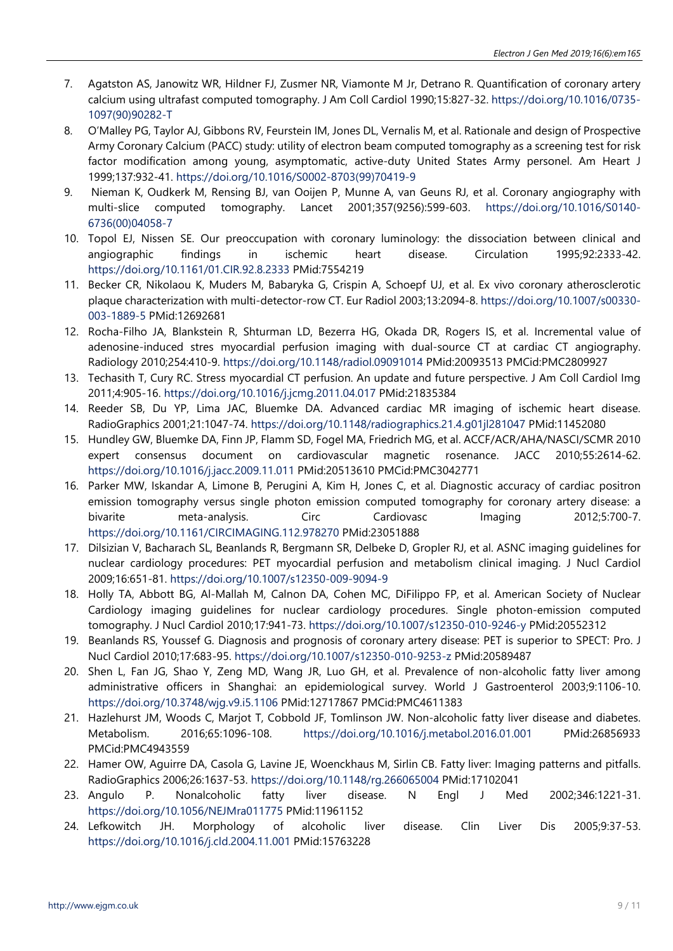- 7. Agatston AS, Janowitz WR, Hildner FJ, Zusmer NR, Viamonte M Jr, Detrano R. Quantification of coronary artery calcium using ultrafast computed tomography. J Am Coll Cardiol 1990;15:827-32. [https://doi.org/10.1016/0735-](https://doi.org/10.1016/0735-1097(90)90282-T) [1097\(90\)90282-T](https://doi.org/10.1016/0735-1097(90)90282-T)
- 8. O'Malley PG, Taylor AJ, Gibbons RV, Feurstein IM, Jones DL, Vernalis M, et al. Rationale and design of Prospective Army Coronary Calcium (PACC) study: utility of electron beam computed tomography as a screening test for risk factor modification among young, asymptomatic, active-duty United States Army personel. Am Heart J 1999;137:932-41. [https://doi.org/10.1016/S0002-8703\(99\)70419-9](https://doi.org/10.1016/S0002-8703(99)70419-9)
- 9. Nieman K, Oudkerk M, Rensing BJ, van Ooijen P, Munne A, van Geuns RJ, et al. Coronary angiography with multi-slice computed tomography. Lancet 2001;357(9256):599-603. [https://doi.org/10.1016/S0140-](https://doi.org/10.1016/S0140-6736(00)04058-7) [6736\(00\)04058-7](https://doi.org/10.1016/S0140-6736(00)04058-7)
- 10. Topol EJ, Nissen SE. Our preoccupation with coronary luminology: the dissociation between clinical and angiographic findings in ischemic heart disease. Circulation 1995;92:2333-42. <https://doi.org/10.1161/01.CIR.92.8.2333> PMid:7554219
- 11. Becker CR, Nikolaou K, Muders M, Babaryka G, Crispin A, Schoepf UJ, et al. Ex vivo coronary atherosclerotic plaque characterization with multi-detector-row CT. Eur Radiol 2003;13:2094-8. [https://doi.org/10.1007/s00330-](https://doi.org/10.1007/s00330-003-1889-5) [003-1889-5](https://doi.org/10.1007/s00330-003-1889-5) PMid:12692681
- 12. Rocha-Filho JA, Blankstein R, Shturman LD, Bezerra HG, Okada DR, Rogers IS, et al. Incremental value of adenosine-induced stres myocardial perfusion imaging with dual-source CT at cardiac CT angiography. Radiology 2010;254:410-9. <https://doi.org/10.1148/radiol.09091014> PMid:20093513 PMCid:PMC2809927
- 13. Techasith T, Cury RC. Stress myocardial CT perfusion. An update and future perspective. J Am Coll Cardiol Img 2011;4:905-16. <https://doi.org/10.1016/j.jcmg.2011.04.017> PMid:21835384
- 14. Reeder SB, Du YP, Lima JAC, Bluemke DA. Advanced cardiac MR imaging of ischemic heart disease. RadioGraphics 2001;21:1047-74. <https://doi.org/10.1148/radiographics.21.4.g01jl281047> PMid:11452080
- 15. Hundley GW, Bluemke DA, Finn JP, Flamm SD, Fogel MA, Friedrich MG, et al. ACCF/ACR/AHA/NASCI/SCMR 2010 expert consensus document on cardiovascular magnetic rosenance. JACC 2010;55:2614-62. <https://doi.org/10.1016/j.jacc.2009.11.011> PMid:20513610 PMCid:PMC3042771
- 16. Parker MW, Iskandar A, Limone B, Perugini A, Kim H, Jones C, et al. Diagnostic accuracy of cardiac positron emission tomography versus single photon emission computed tomography for coronary artery disease: a bivarite meta-analysis. Circ Cardiovasc Imaging 2012;5:700-7. <https://doi.org/10.1161/CIRCIMAGING.112.978270> PMid:23051888
- 17. Dilsizian V, Bacharach SL, Beanlands R, Bergmann SR, Delbeke D, Gropler RJ, et al. ASNC imaging guidelines for nuclear cardiology procedures: PET myocardial perfusion and metabolism clinical imaging. J Nucl Cardiol 2009;16:651-81. <https://doi.org/10.1007/s12350-009-9094-9>
- 18. Holly TA, Abbott BG, Al-Mallah M, Calnon DA, Cohen MC, DiFilippo FP, et al. American Society of Nuclear Cardiology imaging guidelines for nuclear cardiology procedures. Single photon-emission computed tomography. J Nucl Cardiol 2010;17:941-73. <https://doi.org/10.1007/s12350-010-9246-y> PMid:20552312
- 19. Beanlands RS, Youssef G. Diagnosis and prognosis of coronary artery disease: PET is superior to SPECT: Pro. J Nucl Cardiol 2010;17:683-95. <https://doi.org/10.1007/s12350-010-9253-z> PMid:20589487
- 20. Shen L, Fan JG, Shao Y, Zeng MD, Wang JR, Luo GH, et al. Prevalence of non-alcoholic fatty liver among administrative officers in Shanghai: an epidemiological survey. World J Gastroenterol 2003;9:1106-10. <https://doi.org/10.3748/wjg.v9.i5.1106> PMid:12717867 PMCid:PMC4611383
- 21. Hazlehurst JM, Woods C, Marjot T, Cobbold JF, Tomlinson JW. Non-alcoholic fatty liver disease and diabetes. Metabolism. 2016;65:1096-108. <https://doi.org/10.1016/j.metabol.2016.01.001> PMid:26856933 PMCid:PMC4943559
- 22. Hamer OW, Aguirre DA, Casola G, Lavine JE, Woenckhaus M, Sirlin CB. Fatty liver: Imaging patterns and pitfalls. RadioGraphics 2006;26:1637-53. <https://doi.org/10.1148/rg.266065004> PMid:17102041
- 23. Angulo P. Nonalcoholic fatty liver disease. N Engl J Med 2002;346:1221-31. <https://doi.org/10.1056/NEJMra011775> PMid:11961152
- 24. Lefkowitch JH. Morphology of alcoholic liver disease. Clin Liver Dis 2005;9:37-53. <https://doi.org/10.1016/j.cld.2004.11.001> PMid:15763228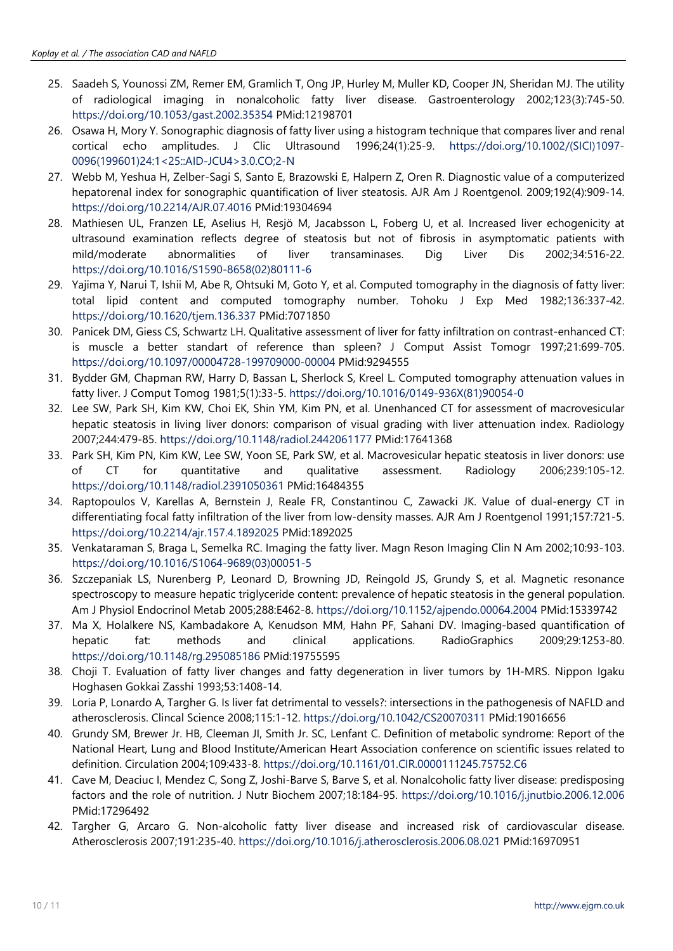- 25. Saadeh S, Younossi ZM, Remer EM, Gramlich T, Ong JP, Hurley M, Muller KD, Cooper JN, Sheridan MJ. The utility of radiological imaging in nonalcoholic fatty liver disease. Gastroenterology 2002;123(3):745-50. <https://doi.org/10.1053/gast.2002.35354> PMid:12198701
- 26. Osawa H, Mory Y. Sonographic diagnosis of fatty liver using a histogram technique that compares liver and renal cortical echo amplitudes. J Clic Ultrasound 1996;24(1):25-9. [https://doi.org/10.1002/\(SICI\)1097-](https://doi.org/10.1002/(SICI)1097-0096(199601)24:1%3C25::AID-JCU4%3E3.0.CO;2-N) [0096\(199601\)24:1<25::AID-JCU4>3.0.CO;2-N](https://doi.org/10.1002/(SICI)1097-0096(199601)24:1%3C25::AID-JCU4%3E3.0.CO;2-N)
- 27. Webb M, Yeshua H, Zelber-Sagi S, Santo E, Brazowski E, Halpern Z, Oren R. Diagnostic value of a computerized hepatorenal index for sonographic quantification of liver steatosis. AJR Am J Roentgenol. 2009;192(4):909-14. <https://doi.org/10.2214/AJR.07.4016> PMid:19304694
- 28. Mathiesen UL, Franzen LE, Aselius H, Resjö M, Jacabsson L, Foberg U, et al. Increased liver echogenicity at ultrasound examination reflects degree of steatosis but not of fibrosis in asymptomatic patients with mild/moderate abnormalities of liver transaminases. Dig Liver Dis 2002;34:516-22. [https://doi.org/10.1016/S1590-8658\(02\)80111-6](https://doi.org/10.1016/S1590-8658(02)80111-6)
- 29. Yajima Y, Narui T, Ishii M, Abe R, Ohtsuki M, Goto Y, et al. Computed tomography in the diagnosis of fatty liver: total lipid content and computed tomography number. Tohoku J Exp Med 1982;136:337-42. <https://doi.org/10.1620/tjem.136.337> PMid:7071850
- 30. Panicek DM, Giess CS, Schwartz LH. Qualitative assessment of liver for fatty infiltration on contrast-enhanced CT: is muscle a better standart of reference than spleen? J Comput Assist Tomogr 1997;21:699-705. <https://doi.org/10.1097/00004728-199709000-00004> PMid:9294555
- 31. Bydder GM, Chapman RW, Harry D, Bassan L, Sherlock S, Kreel L. Computed tomography attenuation values in fatty liver. J Comput Tomog 1981;5(1):33-5. [https://doi.org/10.1016/0149-936X\(81\)90054-0](https://doi.org/10.1016/0149-936X(81)90054-0)
- 32. Lee SW, Park SH, Kim KW, Choi EK, Shin YM, Kim PN, et al. Unenhanced CT for assessment of macrovesicular hepatic steatosis in living liver donors: comparison of visual grading with liver attenuation index. Radiology 2007;244:479-85. <https://doi.org/10.1148/radiol.2442061177> PMid:17641368
- 33. Park SH, Kim PN, Kim KW, Lee SW, Yoon SE, Park SW, et al. Macrovesicular hepatic steatosis in liver donors: use of CT for quantitative and qualitative assessment. Radiology 2006;239:105-12. <https://doi.org/10.1148/radiol.2391050361> PMid:16484355
- 34. Raptopoulos V, Karellas A, Bernstein J, Reale FR, Constantinou C, Zawacki JK. Value of dual-energy CT in differentiating focal fatty infiltration of the liver from low-density masses. AJR Am J Roentgenol 1991;157:721-5. <https://doi.org/10.2214/ajr.157.4.1892025> PMid:1892025
- 35. Venkataraman S, Braga L, Semelka RC. Imaging the fatty liver. Magn Reson Imaging Clin N Am 2002;10:93-103. [https://doi.org/10.1016/S1064-9689\(03\)00051-5](https://doi.org/10.1016/S1064-9689(03)00051-5)
- 36. Szczepaniak LS, Nurenberg P, Leonard D, Browning JD, Reingold JS, Grundy S, et al. Magnetic resonance spectroscopy to measure hepatic triglyceride content: prevalence of hepatic steatosis in the general population. Am J Physiol Endocrinol Metab 2005;288:E462-8. <https://doi.org/10.1152/ajpendo.00064.2004> PMid:15339742
- 37. Ma X, Holalkere NS, Kambadakore A, Kenudson MM, Hahn PF, Sahani DV. Imaging-based quantification of hepatic fat: methods and clinical applications. RadioGraphics 2009;29:1253-80. <https://doi.org/10.1148/rg.295085186> PMid:19755595
- 38. Choji T. Evaluation of fatty liver changes and fatty degeneration in liver tumors by 1H-MRS. Nippon Igaku Hoghasen Gokkai Zasshi 1993;53:1408-14.
- 39. Loria P, Lonardo A, Targher G. Is liver fat detrimental to vessels?: intersections in the pathogenesis of NAFLD and atherosclerosis. Clincal Science 2008;115:1-12. <https://doi.org/10.1042/CS20070311> PMid:19016656
- 40. Grundy SM, Brewer Jr. HB, Cleeman JI, Smith Jr. SC, Lenfant C. Definition of metabolic syndrome: Report of the National Heart, Lung and Blood Institute/American Heart Association conference on scientific issues related to definition. Circulation 2004;109:433-8. <https://doi.org/10.1161/01.CIR.0000111245.75752.C6>
- 41. Cave M, Deaciuc I, Mendez C, Song Z, Joshi-Barve S, Barve S, et al. Nonalcoholic fatty liver disease: predisposing factors and the role of nutrition. J Nutr Biochem 2007;18:184-95. <https://doi.org/10.1016/j.jnutbio.2006.12.006> PMid:17296492
- 42. Targher G, Arcaro G. Non-alcoholic fatty liver disease and increased risk of cardiovascular disease. Atherosclerosis 2007;191:235-40. <https://doi.org/10.1016/j.atherosclerosis.2006.08.021> PMid:16970951